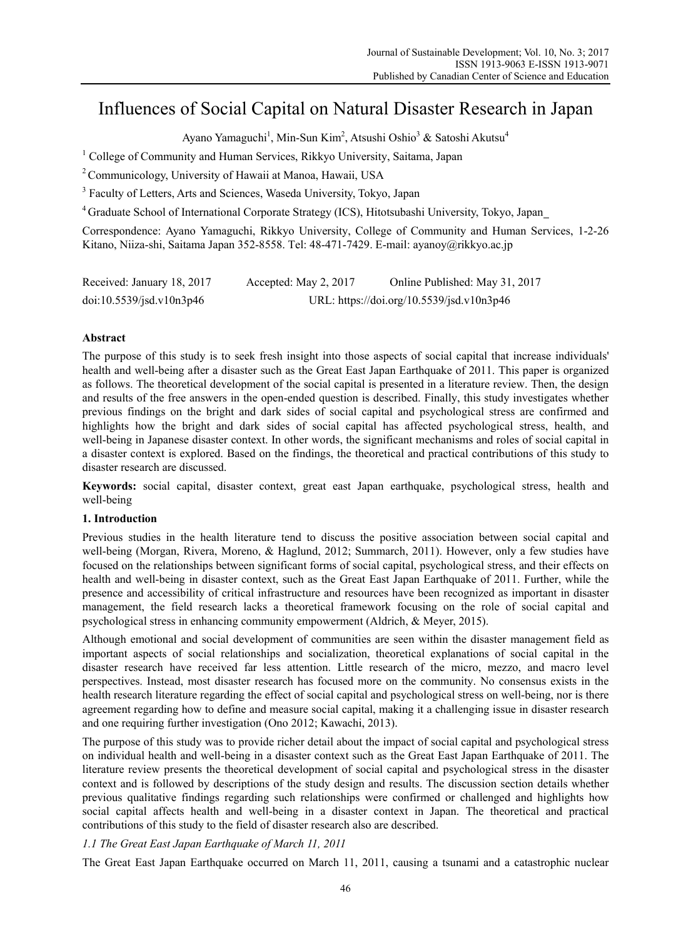# Influences of Social Capital on Natural Disaster Research in Japan

Ayano Yamaguchi<sup>1</sup>, Min-Sun Kim<sup>2</sup>, Atsushi Oshio<sup>3</sup> & Satoshi Akutsu<sup>4</sup>

<sup>1</sup> College of Community and Human Services, Rikkyo University, Saitama, Japan

2 Communicology, University of Hawaii at Manoa, Hawaii, USA

<sup>3</sup> Faculty of Letters, Arts and Sciences, Waseda University, Tokyo, Japan

4 Graduate School of International Corporate Strategy (ICS), Hitotsubashi University, Tokyo, Japan

Correspondence: Ayano Yamaguchi, Rikkyo University, College of Community and Human Services, 1-2-26 Kitano, Niiza-shi, Saitama Japan 352-8558. Tel: 48-471-7429. E-mail: ayanoy@rikkyo.ac.jp

| Received: January 18, 2017                         | Accepted: May 2, 2017 | Online Published: May 31, 2017            |
|----------------------------------------------------|-----------------------|-------------------------------------------|
| $\frac{10.5539}{10.5539}$ doi:10.5539/jsd.v10n3p46 |                       | URL: https://doi.org/10.5539/jsd.v10n3p46 |

# **Abstract**

The purpose of this study is to seek fresh insight into those aspects of social capital that increase individuals' health and well-being after a disaster such as the Great East Japan Earthquake of 2011. This paper is organized as follows. The theoretical development of the social capital is presented in a literature review. Then, the design and results of the free answers in the open-ended question is described. Finally, this study investigates whether previous findings on the bright and dark sides of social capital and psychological stress are confirmed and highlights how the bright and dark sides of social capital has affected psychological stress, health, and well-being in Japanese disaster context. In other words, the significant mechanisms and roles of social capital in a disaster context is explored. Based on the findings, the theoretical and practical contributions of this study to disaster research are discussed.

**Keywords:** social capital, disaster context, great east Japan earthquake, psychological stress, health and well-being

# **1. Introduction**

Previous studies in the health literature tend to discuss the positive association between social capital and well-being (Morgan, Rivera, Moreno, & Haglund, 2012; Summarch, 2011). However, only a few studies have focused on the relationships between significant forms of social capital, psychological stress, and their effects on health and well-being in disaster context, such as the Great East Japan Earthquake of 2011. Further, while the presence and accessibility of critical infrastructure and resources have been recognized as important in disaster management, the field research lacks a theoretical framework focusing on the role of social capital and psychological stress in enhancing community empowerment (Aldrich, & Meyer, 2015).

Although emotional and social development of communities are seen within the disaster management field as important aspects of social relationships and socialization, theoretical explanations of social capital in the disaster research have received far less attention. Little research of the micro, mezzo, and macro level perspectives. Instead, most disaster research has focused more on the community. No consensus exists in the health research literature regarding the effect of social capital and psychological stress on well-being, nor is there agreement regarding how to define and measure social capital, making it a challenging issue in disaster research and one requiring further investigation (Ono 2012; Kawachi, 2013).

The purpose of this study was to provide richer detail about the impact of social capital and psychological stress on individual health and well-being in a disaster context such as the Great East Japan Earthquake of 2011. The literature review presents the theoretical development of social capital and psychological stress in the disaster context and is followed by descriptions of the study design and results. The discussion section details whether previous qualitative findings regarding such relationships were confirmed or challenged and highlights how social capital affects health and well-being in a disaster context in Japan. The theoretical and practical contributions of this study to the field of disaster research also are described.

*1.1 The Great East Japan Earthquake of March 11, 2011* 

The Great East Japan Earthquake occurred on March 11, 2011, causing a tsunami and a catastrophic nuclear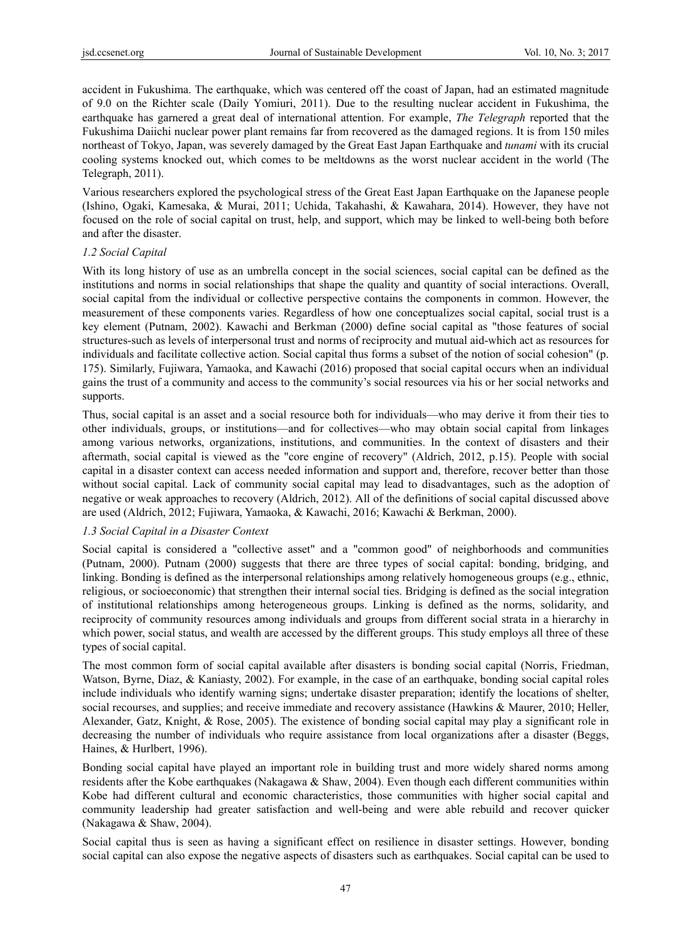accident in Fukushima. The earthquake, which was centered off the coast of Japan, had an estimated magnitude of 9.0 on the Richter scale (Daily Yomiuri, 2011). Due to the resulting nuclear accident in Fukushima, the earthquake has garnered a great deal of international attention. For example, *The Telegraph* reported that the Fukushima Daiichi nuclear power plant remains far from recovered as the damaged regions. It is from 150 miles northeast of Tokyo, Japan, was severely damaged by the Great East Japan Earthquake and *tunami* with its crucial cooling systems knocked out, which comes to be meltdowns as the worst nuclear accident in the world (The Telegraph, 2011).

Various researchers explored the psychological stress of the Great East Japan Earthquake on the Japanese people (Ishino, Ogaki, Kamesaka, & Murai, 2011; Uchida, Takahashi, & Kawahara, 2014). However, they have not focused on the role of social capital on trust, help, and support, which may be linked to well-being both before and after the disaster.

## *1.2 Social Capital*

With its long history of use as an umbrella concept in the social sciences, social capital can be defined as the institutions and norms in social relationships that shape the quality and quantity of social interactions. Overall, social capital from the individual or collective perspective contains the components in common. However, the measurement of these components varies. Regardless of how one conceptualizes social capital, social trust is a key element (Putnam, 2002). Kawachi and Berkman (2000) define social capital as "those features of social structures-such as levels of interpersonal trust and norms of reciprocity and mutual aid-which act as resources for individuals and facilitate collective action. Social capital thus forms a subset of the notion of social cohesion" (p. 175). Similarly, Fujiwara, Yamaoka, and Kawachi (2016) proposed that social capital occurs when an individual gains the trust of a community and access to the community's social resources via his or her social networks and supports.

Thus, social capital is an asset and a social resource both for individuals—who may derive it from their ties to other individuals, groups, or institutions—and for collectives—who may obtain social capital from linkages among various networks, organizations, institutions, and communities. In the context of disasters and their aftermath, social capital is viewed as the "core engine of recovery" (Aldrich, 2012, p.15). People with social capital in a disaster context can access needed information and support and, therefore, recover better than those without social capital. Lack of community social capital may lead to disadvantages, such as the adoption of negative or weak approaches to recovery (Aldrich, 2012). All of the definitions of social capital discussed above are used (Aldrich, 2012; Fujiwara, Yamaoka, & Kawachi, 2016; Kawachi & Berkman, 2000).

# *1.3 Social Capital in a Disaster Context*

Social capital is considered a "collective asset" and a "common good" of neighborhoods and communities (Putnam, 2000). Putnam (2000) suggests that there are three types of social capital: bonding, bridging, and linking. Bonding is defined as the interpersonal relationships among relatively homogeneous groups (e.g., ethnic, religious, or socioeconomic) that strengthen their internal social ties. Bridging is defined as the social integration of institutional relationships among heterogeneous groups. Linking is defined as the norms, solidarity, and reciprocity of community resources among individuals and groups from different social strata in a hierarchy in which power, social status, and wealth are accessed by the different groups. This study employs all three of these types of social capital.

The most common form of social capital available after disasters is bonding social capital (Norris, Friedman, Watson, Byrne, Diaz, & Kaniasty, 2002). For example, in the case of an earthquake, bonding social capital roles include individuals who identify warning signs; undertake disaster preparation; identify the locations of shelter, social recourses, and supplies; and receive immediate and recovery assistance (Hawkins & Maurer, 2010; Heller, Alexander, Gatz, Knight, & Rose, 2005). The existence of bonding social capital may play a significant role in decreasing the number of individuals who require assistance from local organizations after a disaster (Beggs, Haines, & Hurlbert, 1996).

Bonding social capital have played an important role in building trust and more widely shared norms among residents after the Kobe earthquakes (Nakagawa & Shaw, 2004). Even though each different communities within Kobe had different cultural and economic characteristics, those communities with higher social capital and community leadership had greater satisfaction and well-being and were able rebuild and recover quicker (Nakagawa & Shaw, 2004).

Social capital thus is seen as having a significant effect on resilience in disaster settings. However, bonding social capital can also expose the negative aspects of disasters such as earthquakes. Social capital can be used to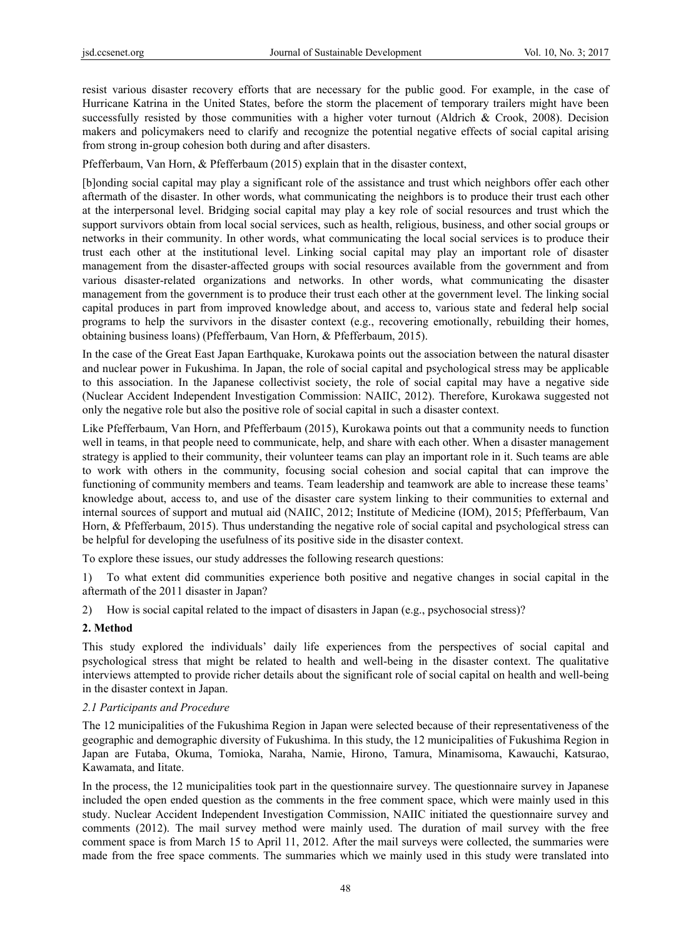resist various disaster recovery efforts that are necessary for the public good. For example, in the case of Hurricane Katrina in the United States, before the storm the placement of temporary trailers might have been successfully resisted by those communities with a higher voter turnout (Aldrich & Crook, 2008). Decision makers and policymakers need to clarify and recognize the potential negative effects of social capital arising from strong in-group cohesion both during and after disasters.

Pfefferbaum, Van Horn, & Pfefferbaum (2015) explain that in the disaster context,

[b]onding social capital may play a significant role of the assistance and trust which neighbors offer each other aftermath of the disaster. In other words, what communicating the neighbors is to produce their trust each other at the interpersonal level. Bridging social capital may play a key role of social resources and trust which the support survivors obtain from local social services, such as health, religious, business, and other social groups or networks in their community. In other words, what communicating the local social services is to produce their trust each other at the institutional level. Linking social capital may play an important role of disaster management from the disaster-affected groups with social resources available from the government and from various disaster-related organizations and networks. In other words, what communicating the disaster management from the government is to produce their trust each other at the government level. The linking social capital produces in part from improved knowledge about, and access to, various state and federal help social programs to help the survivors in the disaster context (e.g., recovering emotionally, rebuilding their homes, obtaining business loans) (Pfefferbaum, Van Horn, & Pfefferbaum, 2015).

In the case of the Great East Japan Earthquake, Kurokawa points out the association between the natural disaster and nuclear power in Fukushima. In Japan, the role of social capital and psychological stress may be applicable to this association. In the Japanese collectivist society, the role of social capital may have a negative side (Nuclear Accident Independent Investigation Commission: NAIIC, 2012). Therefore, Kurokawa suggested not only the negative role but also the positive role of social capital in such a disaster context.

Like Pfefferbaum, Van Horn, and Pfefferbaum (2015), Kurokawa points out that a community needs to function well in teams, in that people need to communicate, help, and share with each other. When a disaster management strategy is applied to their community, their volunteer teams can play an important role in it. Such teams are able to work with others in the community, focusing social cohesion and social capital that can improve the functioning of community members and teams. Team leadership and teamwork are able to increase these teams' knowledge about, access to, and use of the disaster care system linking to their communities to external and internal sources of support and mutual aid (NAIIC, 2012; Institute of Medicine (IOM), 2015; Pfefferbaum, Van Horn, & Pfefferbaum, 2015). Thus understanding the negative role of social capital and psychological stress can be helpful for developing the usefulness of its positive side in the disaster context.

To explore these issues, our study addresses the following research questions:

1) To what extent did communities experience both positive and negative changes in social capital in the aftermath of the 2011 disaster in Japan?

2) How is social capital related to the impact of disasters in Japan (e.g., psychosocial stress)?

# **2. Method**

This study explored the individuals' daily life experiences from the perspectives of social capital and psychological stress that might be related to health and well-being in the disaster context. The qualitative interviews attempted to provide richer details about the significant role of social capital on health and well-being in the disaster context in Japan.

# *2.1 Participants and Procedure*

The 12 municipalities of the Fukushima Region in Japan were selected because of their representativeness of the geographic and demographic diversity of Fukushima. In this study, the 12 municipalities of Fukushima Region in Japan are Futaba, Okuma, Tomioka, Naraha, Namie, Hirono, Tamura, Minamisoma, Kawauchi, Katsurao, Kawamata, and Iitate.

In the process, the 12 municipalities took part in the questionnaire survey. The questionnaire survey in Japanese included the open ended question as the comments in the free comment space, which were mainly used in this study. Nuclear Accident Independent Investigation Commission, NAIIC initiated the questionnaire survey and comments (2012). The mail survey method were mainly used. The duration of mail survey with the free comment space is from March 15 to April 11, 2012. After the mail surveys were collected, the summaries were made from the free space comments. The summaries which we mainly used in this study were translated into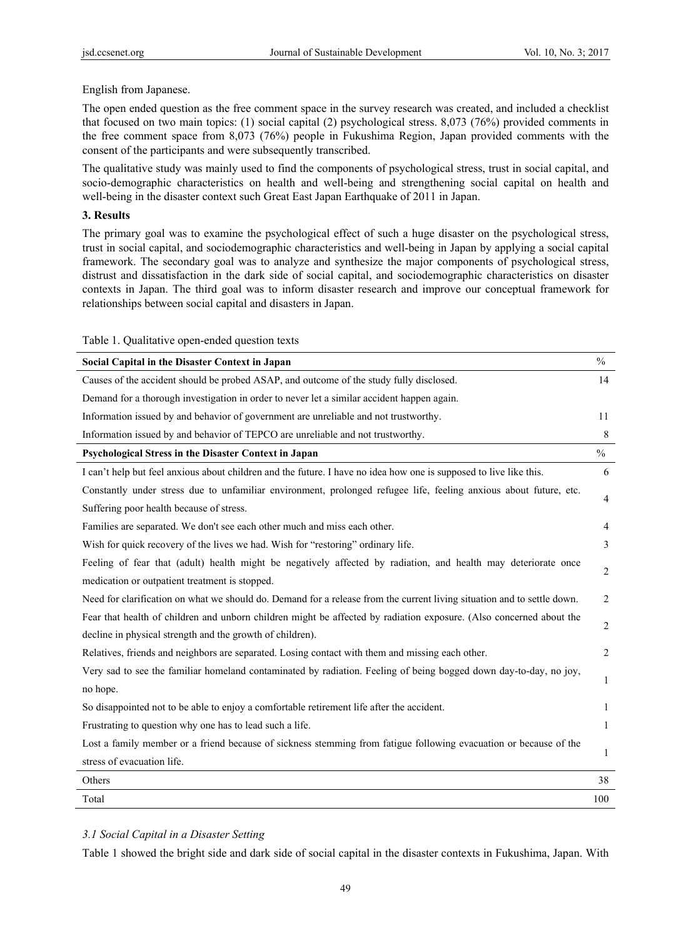English from Japanese.

The open ended question as the free comment space in the survey research was created, and included a checklist that focused on two main topics: (1) social capital (2) psychological stress. 8,073 (76%) provided comments in the free comment space from 8,073 (76%) people in Fukushima Region, Japan provided comments with the consent of the participants and were subsequently transcribed.

The qualitative study was mainly used to find the components of psychological stress, trust in social capital, and socio-demographic characteristics on health and well-being and strengthening social capital on health and well-being in the disaster context such Great East Japan Earthquake of 2011 in Japan.

## **3. Results**

The primary goal was to examine the psychological effect of such a huge disaster on the psychological stress, trust in social capital, and sociodemographic characteristics and well-being in Japan by applying a social capital framework. The secondary goal was to analyze and synthesize the major components of psychological stress, distrust and dissatisfaction in the dark side of social capital, and sociodemographic characteristics on disaster contexts in Japan. The third goal was to inform disaster research and improve our conceptual framework for relationships between social capital and disasters in Japan.

Table 1. Qualitative open-ended question texts

| Social Capital in the Disaster Context in Japan                                                                         |               |
|-------------------------------------------------------------------------------------------------------------------------|---------------|
| Causes of the accident should be probed ASAP, and outcome of the study fully disclosed.                                 |               |
| Demand for a thorough investigation in order to never let a similar accident happen again.                              |               |
| Information issued by and behavior of government are unreliable and not trustworthy.                                    |               |
| Information issued by and behavior of TEPCO are unreliable and not trustworthy.                                         | 8             |
| Psychological Stress in the Disaster Context in Japan                                                                   | $\frac{0}{0}$ |
| I can't help but feel anxious about children and the future. I have no idea how one is supposed to live like this.      | 6             |
| Constantly under stress due to unfamiliar environment, prolonged refugee life, feeling anxious about future, etc.       |               |
| Suffering poor health because of stress.                                                                                |               |
| Families are separated. We don't see each other much and miss each other.                                               | 4             |
| Wish for quick recovery of the lives we had. Wish for "restoring" ordinary life.                                        |               |
| Feeling of fear that (adult) health might be negatively affected by radiation, and health may deteriorate once          |               |
| medication or outpatient treatment is stopped.                                                                          |               |
| Need for clarification on what we should do. Demand for a release from the current living situation and to settle down. |               |
| Fear that health of children and unborn children might be affected by radiation exposure. (Also concerned about the     |               |
| decline in physical strength and the growth of children).                                                               |               |
| Relatives, friends and neighbors are separated. Losing contact with them and missing each other.                        |               |
| Very sad to see the familiar homeland contaminated by radiation. Feeling of being bogged down day-to-day, no joy,       |               |
| no hope.                                                                                                                | 1             |
| So disappointed not to be able to enjoy a comfortable retirement life after the accident.                               | 1             |
| Frustrating to question why one has to lead such a life.                                                                | 1             |
| Lost a family member or a friend because of sickness stemming from fatigue following evacuation or because of the       |               |
| stress of evacuation life.                                                                                              |               |
| Others                                                                                                                  | 38            |
| Total                                                                                                                   | 100           |

# *3.1 Social Capital in a Disaster Setting*

Table 1 showed the bright side and dark side of social capital in the disaster contexts in Fukushima, Japan. With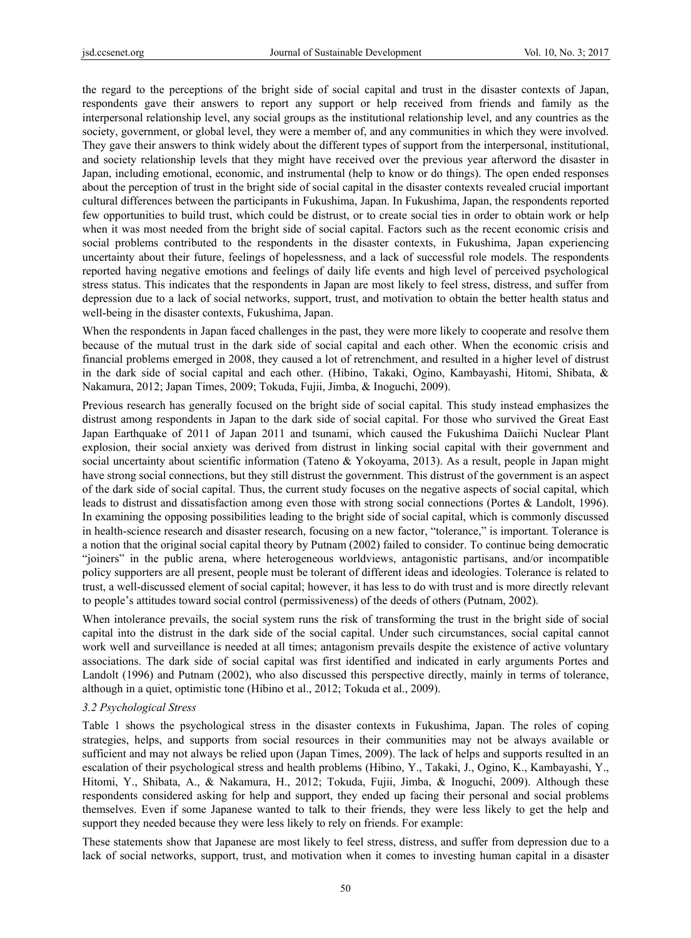the regard to the perceptions of the bright side of social capital and trust in the disaster contexts of Japan, respondents gave their answers to report any support or help received from friends and family as the interpersonal relationship level, any social groups as the institutional relationship level, and any countries as the society, government, or global level, they were a member of, and any communities in which they were involved. They gave their answers to think widely about the different types of support from the interpersonal, institutional, and society relationship levels that they might have received over the previous year afterword the disaster in Japan, including emotional, economic, and instrumental (help to know or do things). The open ended responses about the perception of trust in the bright side of social capital in the disaster contexts revealed crucial important cultural differences between the participants in Fukushima, Japan. In Fukushima, Japan, the respondents reported few opportunities to build trust, which could be distrust, or to create social ties in order to obtain work or help when it was most needed from the bright side of social capital. Factors such as the recent economic crisis and social problems contributed to the respondents in the disaster contexts, in Fukushima, Japan experiencing uncertainty about their future, feelings of hopelessness, and a lack of successful role models. The respondents reported having negative emotions and feelings of daily life events and high level of perceived psychological stress status. This indicates that the respondents in Japan are most likely to feel stress, distress, and suffer from depression due to a lack of social networks, support, trust, and motivation to obtain the better health status and well-being in the disaster contexts, Fukushima, Japan.

When the respondents in Japan faced challenges in the past, they were more likely to cooperate and resolve them because of the mutual trust in the dark side of social capital and each other. When the economic crisis and financial problems emerged in 2008, they caused a lot of retrenchment, and resulted in a higher level of distrust in the dark side of social capital and each other. (Hibino, Takaki, Ogino, Kambayashi, Hitomi, Shibata, & Nakamura, 2012; Japan Times, 2009; Tokuda, Fujii, Jimba, & Inoguchi, 2009).

Previous research has generally focused on the bright side of social capital. This study instead emphasizes the distrust among respondents in Japan to the dark side of social capital. For those who survived the Great East Japan Earthquake of 2011 of Japan 2011 and tsunami, which caused the Fukushima Daiichi Nuclear Plant explosion, their social anxiety was derived from distrust in linking social capital with their government and social uncertainty about scientific information (Tateno & Yokoyama, 2013). As a result, people in Japan might have strong social connections, but they still distrust the government. This distrust of the government is an aspect of the dark side of social capital. Thus, the current study focuses on the negative aspects of social capital, which leads to distrust and dissatisfaction among even those with strong social connections (Portes & Landolt, 1996). In examining the opposing possibilities leading to the bright side of social capital, which is commonly discussed in health-science research and disaster research, focusing on a new factor, "tolerance," is important. Tolerance is a notion that the original social capital theory by Putnam (2002) failed to consider. To continue being democratic "joiners" in the public arena, where heterogeneous worldviews, antagonistic partisans, and/or incompatible policy supporters are all present, people must be tolerant of different ideas and ideologies. Tolerance is related to trust, a well-discussed element of social capital; however, it has less to do with trust and is more directly relevant to people's attitudes toward social control (permissiveness) of the deeds of others (Putnam, 2002).

When intolerance prevails, the social system runs the risk of transforming the trust in the bright side of social capital into the distrust in the dark side of the social capital. Under such circumstances, social capital cannot work well and surveillance is needed at all times; antagonism prevails despite the existence of active voluntary associations. The dark side of social capital was first identified and indicated in early arguments Portes and Landolt (1996) and Putnam (2002), who also discussed this perspective directly, mainly in terms of tolerance, although in a quiet, optimistic tone (Hibino et al., 2012; Tokuda et al., 2009).

### *3.2 Psychological Stress*

Table 1 shows the psychological stress in the disaster contexts in Fukushima, Japan. The roles of coping strategies, helps, and supports from social resources in their communities may not be always available or sufficient and may not always be relied upon (Japan Times, 2009). The lack of helps and supports resulted in an escalation of their psychological stress and health problems (Hibino, Y., Takaki, J., Ogino, K., Kambayashi, Y., Hitomi, Y., Shibata, A., & Nakamura, H., 2012; Tokuda, Fujii, Jimba, & Inoguchi, 2009). Although these respondents considered asking for help and support, they ended up facing their personal and social problems themselves. Even if some Japanese wanted to talk to their friends, they were less likely to get the help and support they needed because they were less likely to rely on friends. For example:

These statements show that Japanese are most likely to feel stress, distress, and suffer from depression due to a lack of social networks, support, trust, and motivation when it comes to investing human capital in a disaster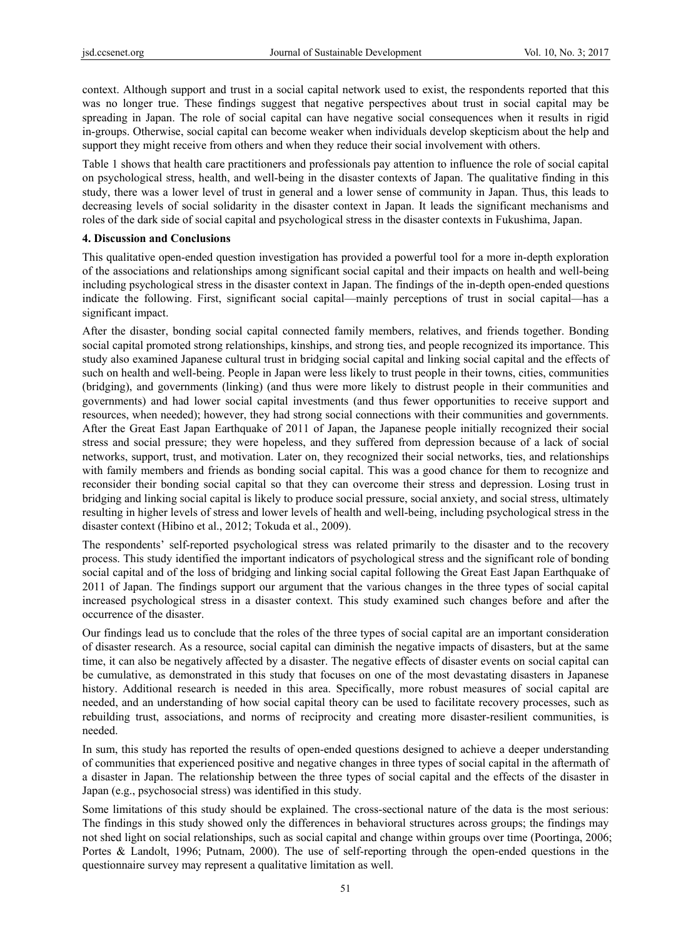context. Although support and trust in a social capital network used to exist, the respondents reported that this was no longer true. These findings suggest that negative perspectives about trust in social capital may be spreading in Japan. The role of social capital can have negative social consequences when it results in rigid in-groups. Otherwise, social capital can become weaker when individuals develop skepticism about the help and support they might receive from others and when they reduce their social involvement with others.

Table 1 shows that health care practitioners and professionals pay attention to influence the role of social capital on psychological stress, health, and well-being in the disaster contexts of Japan. The qualitative finding in this study, there was a lower level of trust in general and a lower sense of community in Japan. Thus, this leads to decreasing levels of social solidarity in the disaster context in Japan. It leads the significant mechanisms and roles of the dark side of social capital and psychological stress in the disaster contexts in Fukushima, Japan.

## **4. Discussion and Conclusions**

This qualitative open-ended question investigation has provided a powerful tool for a more in-depth exploration of the associations and relationships among significant social capital and their impacts on health and well-being including psychological stress in the disaster context in Japan. The findings of the in-depth open-ended questions indicate the following. First, significant social capital—mainly perceptions of trust in social capital—has a significant impact.

After the disaster, bonding social capital connected family members, relatives, and friends together. Bonding social capital promoted strong relationships, kinships, and strong ties, and people recognized its importance. This study also examined Japanese cultural trust in bridging social capital and linking social capital and the effects of such on health and well-being. People in Japan were less likely to trust people in their towns, cities, communities (bridging), and governments (linking) (and thus were more likely to distrust people in their communities and governments) and had lower social capital investments (and thus fewer opportunities to receive support and resources, when needed); however, they had strong social connections with their communities and governments. After the Great East Japan Earthquake of 2011 of Japan, the Japanese people initially recognized their social stress and social pressure; they were hopeless, and they suffered from depression because of a lack of social networks, support, trust, and motivation. Later on, they recognized their social networks, ties, and relationships with family members and friends as bonding social capital. This was a good chance for them to recognize and reconsider their bonding social capital so that they can overcome their stress and depression. Losing trust in bridging and linking social capital is likely to produce social pressure, social anxiety, and social stress, ultimately resulting in higher levels of stress and lower levels of health and well-being, including psychological stress in the disaster context (Hibino et al., 2012; Tokuda et al., 2009).

The respondents' self-reported psychological stress was related primarily to the disaster and to the recovery process. This study identified the important indicators of psychological stress and the significant role of bonding social capital and of the loss of bridging and linking social capital following the Great East Japan Earthquake of 2011 of Japan. The findings support our argument that the various changes in the three types of social capital increased psychological stress in a disaster context. This study examined such changes before and after the occurrence of the disaster.

Our findings lead us to conclude that the roles of the three types of social capital are an important consideration of disaster research. As a resource, social capital can diminish the negative impacts of disasters, but at the same time, it can also be negatively affected by a disaster. The negative effects of disaster events on social capital can be cumulative, as demonstrated in this study that focuses on one of the most devastating disasters in Japanese history. Additional research is needed in this area. Specifically, more robust measures of social capital are needed, and an understanding of how social capital theory can be used to facilitate recovery processes, such as rebuilding trust, associations, and norms of reciprocity and creating more disaster-resilient communities, is needed.

In sum, this study has reported the results of open-ended questions designed to achieve a deeper understanding of communities that experienced positive and negative changes in three types of social capital in the aftermath of a disaster in Japan. The relationship between the three types of social capital and the effects of the disaster in Japan (e.g., psychosocial stress) was identified in this study.

Some limitations of this study should be explained. The cross-sectional nature of the data is the most serious: The findings in this study showed only the differences in behavioral structures across groups; the findings may not shed light on social relationships, such as social capital and change within groups over time (Poortinga, 2006; Portes & Landolt, 1996; Putnam, 2000). The use of self-reporting through the open-ended questions in the questionnaire survey may represent a qualitative limitation as well.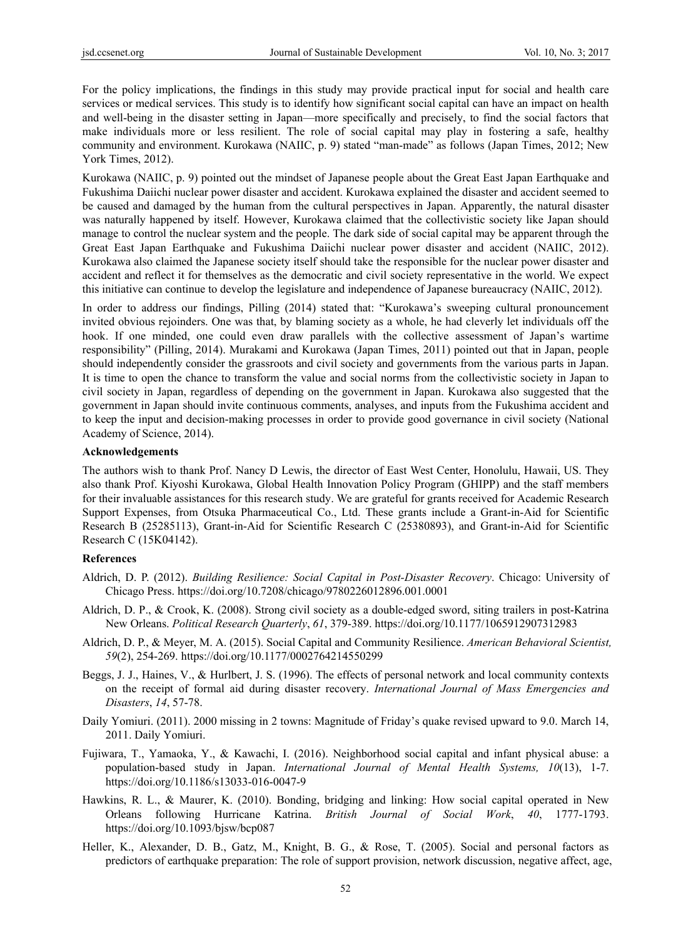For the policy implications, the findings in this study may provide practical input for social and health care services or medical services. This study is to identify how significant social capital can have an impact on health and well-being in the disaster setting in Japan—more specifically and precisely, to find the social factors that make individuals more or less resilient. The role of social capital may play in fostering a safe, healthy community and environment. Kurokawa (NAIIC, p. 9) stated "man-made" as follows (Japan Times, 2012; New York Times, 2012).

Kurokawa (NAIIC, p. 9) pointed out the mindset of Japanese people about the Great East Japan Earthquake and Fukushima Daiichi nuclear power disaster and accident. Kurokawa explained the disaster and accident seemed to be caused and damaged by the human from the cultural perspectives in Japan. Apparently, the natural disaster was naturally happened by itself. However, Kurokawa claimed that the collectivistic society like Japan should manage to control the nuclear system and the people. The dark side of social capital may be apparent through the Great East Japan Earthquake and Fukushima Daiichi nuclear power disaster and accident (NAIIC, 2012). Kurokawa also claimed the Japanese society itself should take the responsible for the nuclear power disaster and accident and reflect it for themselves as the democratic and civil society representative in the world. We expect this initiative can continue to develop the legislature and independence of Japanese bureaucracy (NAIIC, 2012).

In order to address our findings, Pilling (2014) stated that: "Kurokawa's sweeping cultural pronouncement invited obvious rejoinders. One was that, by blaming society as a whole, he had cleverly let individuals off the hook. If one minded, one could even draw parallels with the collective assessment of Japan's wartime responsibility" (Pilling, 2014). Murakami and Kurokawa (Japan Times, 2011) pointed out that in Japan, people should independently consider the grassroots and civil society and governments from the various parts in Japan. It is time to open the chance to transform the value and social norms from the collectivistic society in Japan to civil society in Japan, regardless of depending on the government in Japan. Kurokawa also suggested that the government in Japan should invite continuous comments, analyses, and inputs from the Fukushima accident and to keep the input and decision-making processes in order to provide good governance in civil society (National Academy of Science, 2014).

#### **Acknowledgements**

The authors wish to thank Prof. Nancy D Lewis, the director of East West Center, Honolulu, Hawaii, US. They also thank Prof. Kiyoshi Kurokawa, Global Health Innovation Policy Program (GHIPP) and the staff members for their invaluable assistances for this research study. We are grateful for grants received for Academic Research Support Expenses, from Otsuka Pharmaceutical Co., Ltd. These grants include a Grant-in-Aid for Scientific Research B (25285113), Grant-in-Aid for Scientific Research C (25380893), and Grant-in-Aid for Scientific Research C (15K04142).

#### **References**

- Aldrich, D. P. (2012). *Building Resilience: Social Capital in Post-Disaster Recovery*. Chicago: University of Chicago Press. https://doi.org/10.7208/chicago/9780226012896.001.0001
- Aldrich, D. P., & Crook, K. (2008). Strong civil society as a double-edged sword, siting trailers in post-Katrina New Orleans. *Political Research Quarterly*, *61*, 379-389. https://doi.org/10.1177/1065912907312983
- Aldrich, D. P., & Meyer, M. A. (2015). Social Capital and Community Resilience. *American Behavioral Scientist, 59*(2), 254-269. https://doi.org/10.1177/0002764214550299
- Beggs, J. J., Haines, V., & Hurlbert, J. S. (1996). The effects of personal network and local community contexts on the receipt of formal aid during disaster recovery. *International Journal of Mass Emergencies and Disasters*, *14*, 57-78.
- Daily Yomiuri. (2011). 2000 missing in 2 towns: Magnitude of Friday's quake revised upward to 9.0. March 14, 2011. Daily Yomiuri.
- Fujiwara, T., Yamaoka, Y., & Kawachi, I. (2016). Neighborhood social capital and infant physical abuse: a population-based study in Japan. *International Journal of Mental Health Systems, 10*(13), 1-7. https://doi.org/10.1186/s13033-016-0047-9
- Hawkins, R. L., & Maurer, K. (2010). Bonding, bridging and linking: How social capital operated in New Orleans following Hurricane Katrina. *British Journal of Social Work*, *40*, 1777-1793. https://doi.org/10.1093/bjsw/bcp087
- Heller, K., Alexander, D. B., Gatz, M., Knight, B. G., & Rose, T. (2005). Social and personal factors as predictors of earthquake preparation: The role of support provision, network discussion, negative affect, age,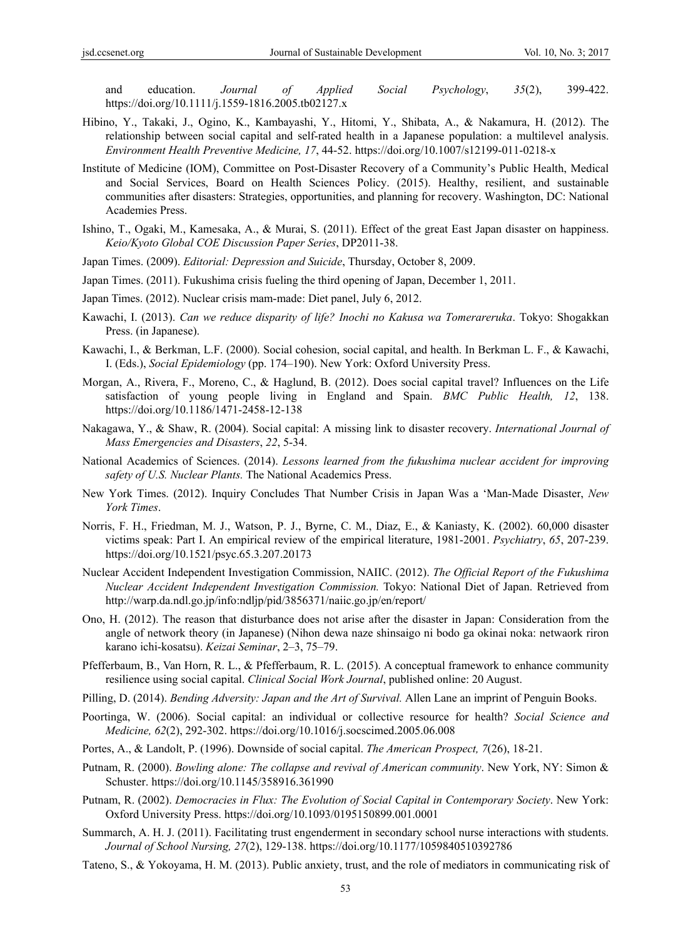and education. *Journal of Applied Social Psychology*, *35*(2), 399-422. https://doi.org/10.1111/j.1559-1816.2005.tb02127.x

- Hibino, Y., Takaki, J., Ogino, K., Kambayashi, Y., Hitomi, Y., Shibata, A., & Nakamura, H. (2012). The relationship between social capital and self-rated health in a Japanese population: a multilevel analysis. *Environment Health Preventive Medicine, 17*, 44-52. https://doi.org/10.1007/s12199-011-0218-x
- Institute of Medicine (IOM), Committee on Post-Disaster Recovery of a Community's Public Health, Medical and Social Services, Board on Health Sciences Policy. (2015). Healthy, resilient, and sustainable communities after disasters: Strategies, opportunities, and planning for recovery. Washington, DC: National Academies Press.
- Ishino, T., Ogaki, M., Kamesaka, A., & Murai, S. (2011). Effect of the great East Japan disaster on happiness. *Keio/Kyoto Global COE Discussion Paper Series*, DP2011-38.
- Japan Times. (2009). *Editorial: Depression and Suicide*, Thursday, October 8, 2009.
- Japan Times. (2011). Fukushima crisis fueling the third opening of Japan, December 1, 2011.
- Japan Times. (2012). Nuclear crisis mam-made: Diet panel, July 6, 2012.
- Kawachi, I. (2013). *Can we reduce disparity of life? Inochi no Kakusa wa Tomerareruka*. Tokyo: Shogakkan Press. (in Japanese).
- Kawachi, I., & Berkman, L.F. (2000). Social cohesion, social capital, and health. In Berkman L. F., & Kawachi, I. (Eds.), *Social Epidemiology* (pp. 174–190). New York: Oxford University Press.
- Morgan, A., Rivera, F., Moreno, C., & Haglund, B. (2012). Does social capital travel? Influences on the Life satisfaction of young people living in England and Spain. *BMC Public Health, 12*, 138. https://doi.org/10.1186/1471-2458-12-138
- Nakagawa, Y., & Shaw, R. (2004). Social capital: A missing link to disaster recovery. *International Journal of Mass Emergencies and Disasters*, *22*, 5-34.
- National Academics of Sciences. (2014). *Lessons learned from the fukushima nuclear accident for improving safety of U.S. Nuclear Plants.* The National Academics Press.
- New York Times. (2012). Inquiry Concludes That Number Crisis in Japan Was a 'Man-Made Disaster, *New York Times*.
- Norris, F. H., Friedman, M. J., Watson, P. J., Byrne, C. M., Diaz, E., & Kaniasty, K. (2002). 60,000 disaster victims speak: Part I. An empirical review of the empirical literature, 1981-2001. *Psychiatry*, *65*, 207-239. https://doi.org/10.1521/psyc.65.3.207.20173
- Nuclear Accident Independent Investigation Commission, NAIIC. (2012). *The Official Report of the Fukushima Nuclear Accident Independent Investigation Commission.* Tokyo: National Diet of Japan. Retrieved from http://warp.da.ndl.go.jp/info:ndljp/pid/3856371/naiic.go.jp/en/report/
- Ono, H. (2012). The reason that disturbance does not arise after the disaster in Japan: Consideration from the angle of network theory (in Japanese) (Nihon dewa naze shinsaigo ni bodo ga okinai noka: netwaork riron karano ichi-kosatsu). *Keizai Seminar*, 2–3, 75–79.
- Pfefferbaum, B., Van Horn, R. L., & Pfefferbaum, R. L. (2015). A conceptual framework to enhance community resilience using social capital. *Clinical Social Work Journal*, published online: 20 August.
- Pilling, D. (2014). *Bending Adversity: Japan and the Art of Survival.* Allen Lane an imprint of Penguin Books.
- Poortinga, W. (2006). Social capital: an individual or collective resource for health? *Social Science and Medicine, 62*(2), 292-302. https://doi.org/10.1016/j.socscimed.2005.06.008
- Portes, A., & Landolt, P. (1996). Downside of social capital. *The American Prospect, 7*(26), 18-21.
- Putnam, R. (2000). *Bowling alone: The collapse and revival of American community*. New York, NY: Simon & Schuster. https://doi.org/10.1145/358916.361990
- Putnam, R. (2002). *Democracies in Flux: The Evolution of Social Capital in Contemporary Society*. New York: Oxford University Press. https://doi.org/10.1093/0195150899.001.0001
- Summarch, A. H. J. (2011). Facilitating trust engenderment in secondary school nurse interactions with students. *Journal of School Nursing, 27*(2), 129-138. https://doi.org/10.1177/1059840510392786
- Tateno, S., & Yokoyama, H. M. (2013). Public anxiety, trust, and the role of mediators in communicating risk of